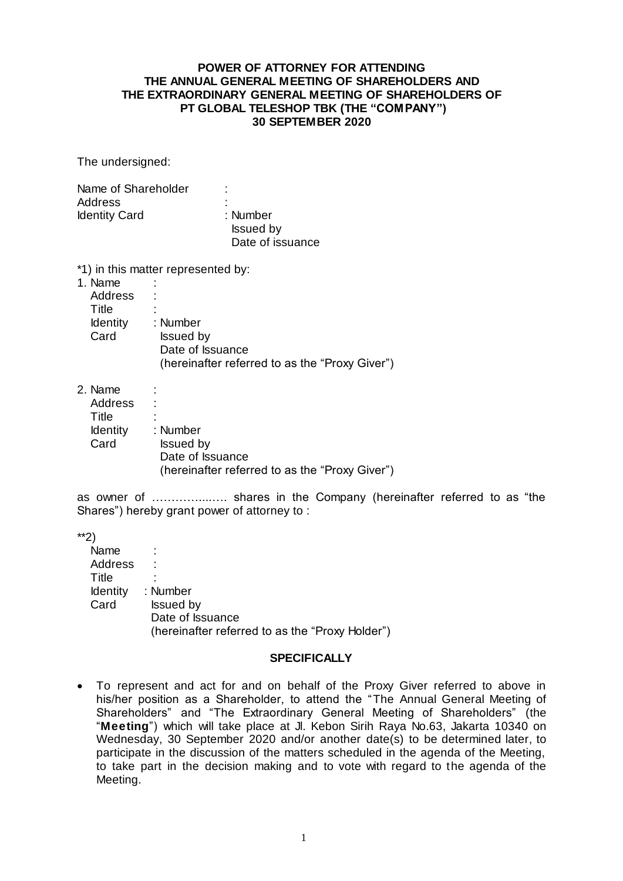## **POWER OF ATTORNEY FOR ATTENDING THE ANNUAL GENERAL MEETING OF SHAREHOLDERS AND THE EXTRAORDINARY GENERAL MEETING OF SHAREHOLDERS OF PT GLOBAL TELESHOP TBK (THE "COMPANY") 30 SEPTEMBER 2020**

The undersigned:

| Name of Shareholder  | ٠<br>٠           |  |
|----------------------|------------------|--|
| Address              | ٠<br>۰           |  |
| <b>Identity Card</b> | : Number         |  |
|                      | <b>Issued by</b> |  |
|                      | Date of issuance |  |

\*1) in this matter represented by:

| 1. Name         |                                                |
|-----------------|------------------------------------------------|
| Address         |                                                |
| Title           |                                                |
| <b>Identity</b> | : Number                                       |
| Card            | <b>Issued by</b>                               |
|                 | Date of Issuance                               |
|                 | (hereinafter referred to as the "Proxy Giver") |

2. Name :

| <b>Address</b>  |                                                |
|-----------------|------------------------------------------------|
| Title           |                                                |
| <b>Identity</b> | : Number                                       |
| Card            | <b>Issued by</b>                               |
|                 | Date of Issuance                               |
|                 | (hereinafter referred to as the "Proxy Giver") |

as owner of …………....…. shares in the Company (hereinafter referred to as "the Shares") hereby grant power of attorney to :

\*\*2)

| Name            |                                                 |
|-----------------|-------------------------------------------------|
| <b>Address</b>  | ٠                                               |
| Title           |                                                 |
| <b>Identity</b> | : Number                                        |
| Card            | <b>Issued by</b>                                |
|                 | Date of Issuance                                |
|                 | (hereinafter referred to as the "Proxy Holder") |
|                 |                                                 |

## **SPECIFICALLY**

 To represent and act for and on behalf of the Proxy Giver referred to above in his/her position as a Shareholder, to attend the "The Annual General Meeting of Shareholders" and "The Extraordinary General Meeting of Shareholders" (the "**Meeting**") which will take place at Jl. Kebon Sirih Raya No.63, Jakarta 10340 on Wednesday, 30 September 2020 and/or another date(s) to be determined later, to participate in the discussion of the matters scheduled in the agenda of the Meeting, to take part in the decision making and to vote with regard to the agenda of the Meeting.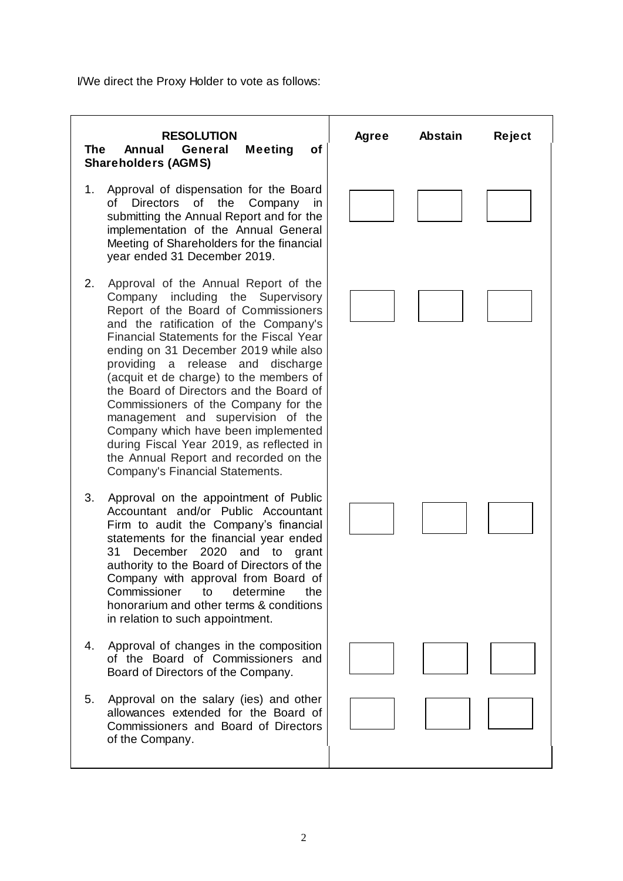I/We direct the Proxy Holder to vote as follows: